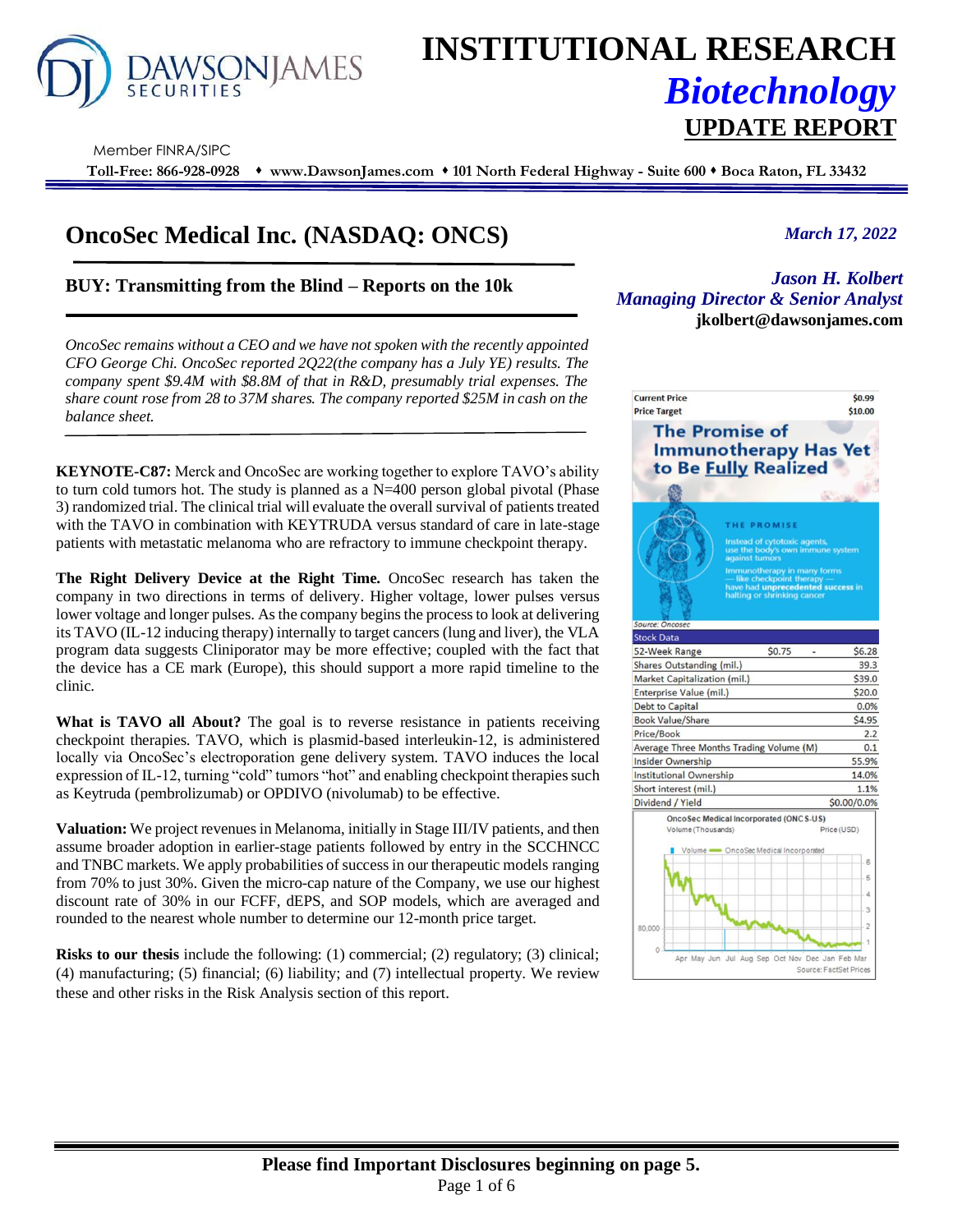

## **INSTITUTIONAL RESEARCH** *Biotechnology* **UPDATE REPORT**

Member FINRA/SIPC

**Toll-Free: 866-928-0928** ⬧ **www.DawsonJames.com** ⬧ **101 North Federal Highway - Suite 600** ⬧ **Boca Raton, FL 33432**

### **OncoSec Medical Inc. (NASDAQ: ONCS)**

#### **BUY: Transmitting from the Blind – Reports on the 10k**

*OncoSec remains without a CEO and we have not spoken with the recently appointed CFO George Chi. OncoSec reported 2Q22(the company has a July YE) results. The company spent \$9.4M with \$8.8M of that in R&D, presumably trial expenses. The share count rose from 28 to 37M shares. The company reported \$25M in cash on the balance sheet.*

**KEYNOTE-C87:** Merck and OncoSec are working together to explore TAVO's ability to turn cold tumors hot. The study is planned as a  $N=400$  person global pivotal (Phase 3) randomized trial. The clinical trial will evaluate the overall survival of patients treated with the TAVO in combination with KEYTRUDA versus standard of care in late-stage patients with metastatic melanoma who are refractory to immune checkpoint therapy.

**The Right Delivery Device at the Right Time.** OncoSec research has taken the company in two directions in terms of delivery. Higher voltage, lower pulses versus lower voltage and longer pulses. As the company begins the process to look at delivering its TAVO (IL-12 inducing therapy) internally to target cancers (lung and liver), the VLA program data suggests Cliniporator may be more effective; coupled with the fact that the device has a CE mark (Europe), this should support a more rapid timeline to the clinic.

**What is TAVO all About?** The goal is to reverse resistance in patients receiving checkpoint therapies. TAVO, which is plasmid-based interleukin-12, is administered locally via OncoSec's electroporation gene delivery system. TAVO induces the local expression of IL-12, turning "cold" tumors "hot" and enabling checkpoint therapies such as Keytruda (pembrolizumab) or OPDIVO (nivolumab) to be effective.

**Valuation:** We project revenues in Melanoma, initially in Stage III/IV patients, and then assume broader adoption in earlier-stage patients followed by entry in the SCCHNCC and TNBC markets. We apply probabilities of success in our therapeutic models ranging from 70% to just 30%. Given the micro-cap nature of the Company, we use our highest discount rate of 30% in our FCFF, dEPS, and SOP models, which are averaged and rounded to the nearest whole number to determine our 12-month price target.

**Risks to our thesis** include the following: (1) commercial; (2) regulatory; (3) clinical; (4) manufacturing; (5) financial; (6) liability; and (7) intellectual property. We review these and other risks in the Risk Analysis section of this report.

#### *March 17, 2022*

**Investment Highlights jkolbert@dawsonjames.com***Jason H. Kolbert Managing Director & Senior Analyst*

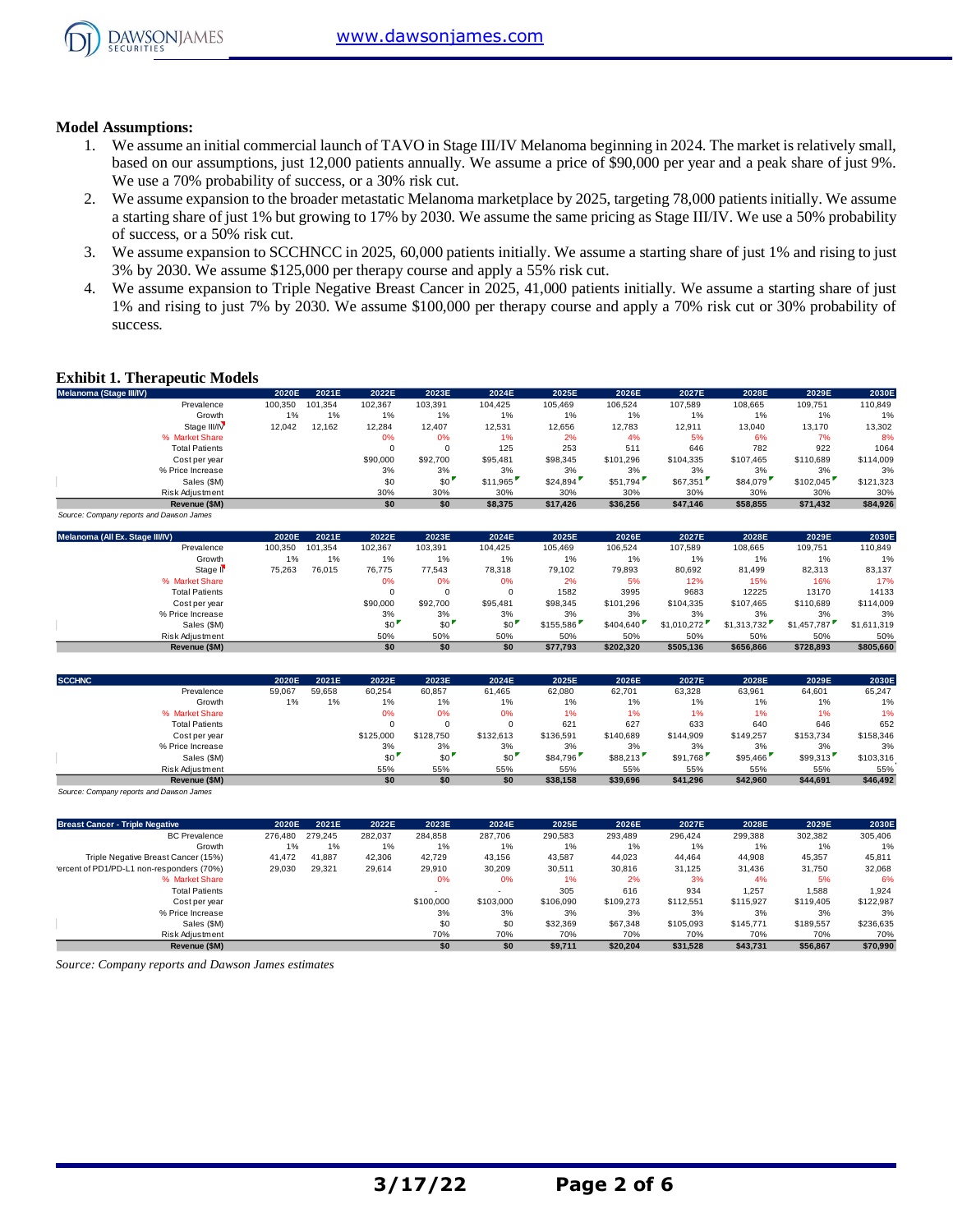

#### **Model Assumptions:**

- 1. We assume an initial commercial launch of TAVO in Stage III/IV Melanoma beginning in 2024. The market is relatively small, based on our assumptions, just 12,000 patients annually. We assume a price of \$90,000 per year and a peak share of just 9%. We use a 70% probability of success, or a 30% risk cut.
- 2. We assume expansion to the broader metastatic Melanoma marketplace by 2025, targeting 78,000 patients initially. We assume a starting share of just 1% but growing to 17% by 2030. We assume the same pricing as Stage III/IV. We use a 50% probability of success, or a 50% risk cut.
- 3. We assume expansion to SCCHNCC in 2025, 60,000 patients initially. We assume a starting share of just 1% and rising to just 3% by 2030. We assume \$125,000 per therapy course and apply a 55% risk cut.
- 4. We assume expansion to Triple Negative Breast Cancer in 2025, 41,000 patients initially. We assume a starting share of just 1% and rising to just 7% by 2030. We assume \$100,000 per therapy course and apply a 70% risk cut or 30% probability of success.

#### **Exhibit 1. Therapeutic Models**

| Melanoma (Stage III/IV)                  | 2020E   | 2021E   | 2022E    | 2023E    | 2024E    | 2025E    | 2026E     | 2027E     | 2028E     | 2029E     | 2030E     |
|------------------------------------------|---------|---------|----------|----------|----------|----------|-----------|-----------|-----------|-----------|-----------|
| Prevalence                               | 100.350 | 101.354 | 102.367  | 103.391  | 104.425  | 105.469  | 106.524   | 107.589   | 108.665   | 109.751   | 110,849   |
| Growth                                   | 1%      | 1%      | 1%       | 1%       | 1%       | $1\%$    | 1%        | 1%        | 1%        | 1%        | 1%        |
| Stage III/IV                             | 12,042  | 12,162  | 12,284   | 12,407   | 12,531   | 12,656   | 12,783    | 12.911    | 13,040    | 13,170    | 13,302    |
| % Market Share                           |         |         | 0%       | 0%       | 1%       | 2%       | 4%        | 5%        | 6%        | 7%        | 8%        |
| <b>Total Patients</b>                    |         |         |          | $\Omega$ | 125      | 253      | 511       | 646       | 782       | 922       | 1064      |
| Cost per year                            |         |         | \$90,000 | \$92,700 | \$95,481 | \$98,345 | \$101.296 | \$104,335 | \$107,465 | \$110,689 | \$114,009 |
| % Price Increase                         |         |         | 3%       | 3%       | 3%       | 3%       | 3%        | 3%        | 3%        | 3%        | 3%        |
| Sales (\$M)                              |         |         | \$0      | \$0      | \$11.965 | \$24,894 | \$51,794  | \$67,351  | \$84,079  | \$102,045 | \$121,323 |
| Risk Adjustment                          |         |         | 30%      | 30%      | 30%      | 30%      | 30%       | 30%       | 30%       | 30%       | 30%       |
| Revenue (\$M)                            |         |         | \$0      | \$0      | \$8,375  | \$17,426 | \$36,256  | \$47,146  | \$58,855  | \$71,432  | \$84,926  |
| Source: Company reports and Dawson James |         |         |          |          |          |          |           |           |           |           |           |

| Melanoma (All Ex. Stage III/IV) | 2020E   | 2021E   | 2022E    | 2023E    | 2024E    | 2025E     | 2026E     | 2027E       | 2028E       | 2029E       | 2030E       |
|---------------------------------|---------|---------|----------|----------|----------|-----------|-----------|-------------|-------------|-------------|-------------|
| Prevalence                      | 100.350 | 101.354 | 102.367  | 103,391  | 104.425  | 105.469   | 106.524   | 107.589     | 108,665     | 109.751     | 110.849     |
| Growth                          | 1%      | 1%      | 1%       | 1%       | 1%       | 1%        | 1%        | 1%          | 1%          | 1%          | 1%          |
| Stage II <sup>V</sup>           | 75,263  | 76,015  | 76,775   | 77.543   | 78,318   | 79.102    | 79,893    | 80.692      | 81.499      | 82,313      | 83,137      |
| % Market Share                  |         |         | 0%       | 0%       | 0%       | 2%        | 5%        | 12%         | 15%         | 16%         | 17%         |
| <b>Total Patients</b>           |         |         |          |          |          | 1582      | 3995      | 9683        | 12225       | 13170       | 14133       |
| Cost per year                   |         |         | \$90,000 | \$92,700 | \$95,481 | \$98,345  | \$101.296 | \$104.335   | \$107,465   | \$110,689   | \$114,009   |
| % Price Increase                |         |         | 3%       | 3%       | 3%       | 3%        | 3%        | 3%          | 3%          | 3%          | 3%          |
| Sales (\$M)                     |         |         | \$0      | \$0      | \$0      | \$155.586 | \$404,640 | \$1.010.272 | \$1,313,732 | \$1,457,787 | \$1,611,319 |
| Risk Adjustment                 |         |         | 50%      | 50%      | 50%      | 50%       | 50%       | 50%         | 50%         | 50%         | 50%         |
| Revenue (\$M)                   |         |         | \$0      | \$0      | \$0      | \$77.793  | \$202.320 | \$505.136   | \$656,866   | \$728.893   | \$805,660   |

| <b>SCCHNC</b>         | 2020E  | 2021E  | 2022E     | 2023E     | 2024E     | 2025E     | 2026E     | 2027E     | 2028E     | 2029E     | 2030E     |
|-----------------------|--------|--------|-----------|-----------|-----------|-----------|-----------|-----------|-----------|-----------|-----------|
| Prevalence            | 59,067 | 59,658 | 60,254    | 60,857    | 61,465    | 62,080    | 62,701    | 63,328    | 63,961    | 64,601    | 65,247    |
| Growth                | 1%     | 1%     | 1%        | 1%        | 1%        | 1%        | 1%        | $1\%$     | 1%        | 1%        | 1%        |
| % Market Share        |        |        | 0%        | 0%        | 0%        | 1%        | 1%        | 1%        | 1%        | 1%        | 1%        |
| <b>Total Patients</b> |        |        |           | $\Omega$  | 0         | 621       | 627       | 633       | 640       | 646       | 652       |
| Cost per year         |        |        | \$125,000 | \$128,750 | \$132,613 | \$136,591 | \$140.689 | \$144,909 | \$149,257 | \$153,734 | \$158,346 |
| % Price Increase      |        |        | 3%        | 3%        | 3%        | 3%        | 3%        | 3%        | 3%        | 3%        | 3%        |
| Sales (\$M)           |        |        | \$0       | \$0'      | \$0       | \$84,796  | \$88,213  | \$91.768  | \$95,466  | \$99,313  | \$103,316 |
| Risk Adjustment       |        |        | 55%       | 55%       | 55%       | 55%       | 55%       | 55%       | 55%       | 55%       | 55%       |
| Revenue (\$M)         |        |        | \$0       | \$0       | \$0       | \$38,158  | \$39,696  | \$41.296  | \$42,960  | \$44,691  | \$46,492  |

*Source: Company reports and Dawson James*

| <b>Breast Cancer - Triple Negative</b>    | 2020E   | 2021E   | 2022E   | 2023E     | 2024E     | 2025E     | 2026E     | 2027E     | 2028E     | 2029E     | 2030E     |
|-------------------------------------------|---------|---------|---------|-----------|-----------|-----------|-----------|-----------|-----------|-----------|-----------|
| <b>BC</b> Prevalence                      | 276,480 | 279.245 | 282.037 | 284.858   | 287.706   | 290.583   | 293.489   | 296.424   | 299.388   | 302,382   | 305,406   |
| Growth                                    | 1%      | 1%      | 1%      | 1%        | $1\%$     | 1%        | 1%        | 1%        | 1%        | 1%        | 1%        |
| Triple Negative Breast Cancer (15%)       | 41.472  | 41.887  | 42.306  | 42.729    | 43.156    | 43.587    | 44.023    | 44.464    | 44.908    | 45,357    | 45,811    |
| 'ercent of PD1/PD-L1 non-responders (70%) | 29,030  | 29.321  | 29.614  | 29.910    | 30.209    | 30.511    | 30.816    | 31.125    | 31.436    | 31.750    | 32,068    |
| % Market Share                            |         |         |         | 0%        | 0%        | 1%        | 2%        | 3%        | 4%        | 5%        | 6%        |
| <b>Total Patients</b>                     |         |         |         |           |           | 305       | 616       | 934       | 1.257     | 1.588     | 1,924     |
| Cost per year                             |         |         |         | \$100,000 | \$103,000 | \$106,090 | \$109,273 | \$112,551 | \$115,927 | \$119,405 | \$122,987 |
| % Price Increase                          |         |         |         | 3%        | 3%        | 3%        | 3%        | 3%        | 3%        | 3%        | 3%        |
| Sales (\$M)                               |         |         |         | \$0       | \$0       | \$32,369  | \$67,348  | \$105,093 | \$145.771 | \$189,557 | \$236,635 |
| Risk Adjustment                           |         |         |         | 70%       | 70%       | 70%       | 70%       | 70%       | 70%       | 70%       | 70%       |
| Revenue (\$M)                             |         |         |         | \$0       | \$0       | \$9.711   | \$20.204  | \$31.528  | \$43.731  | \$56.867  | \$70.990  |

*Source: Company reports and Dawson James estimates*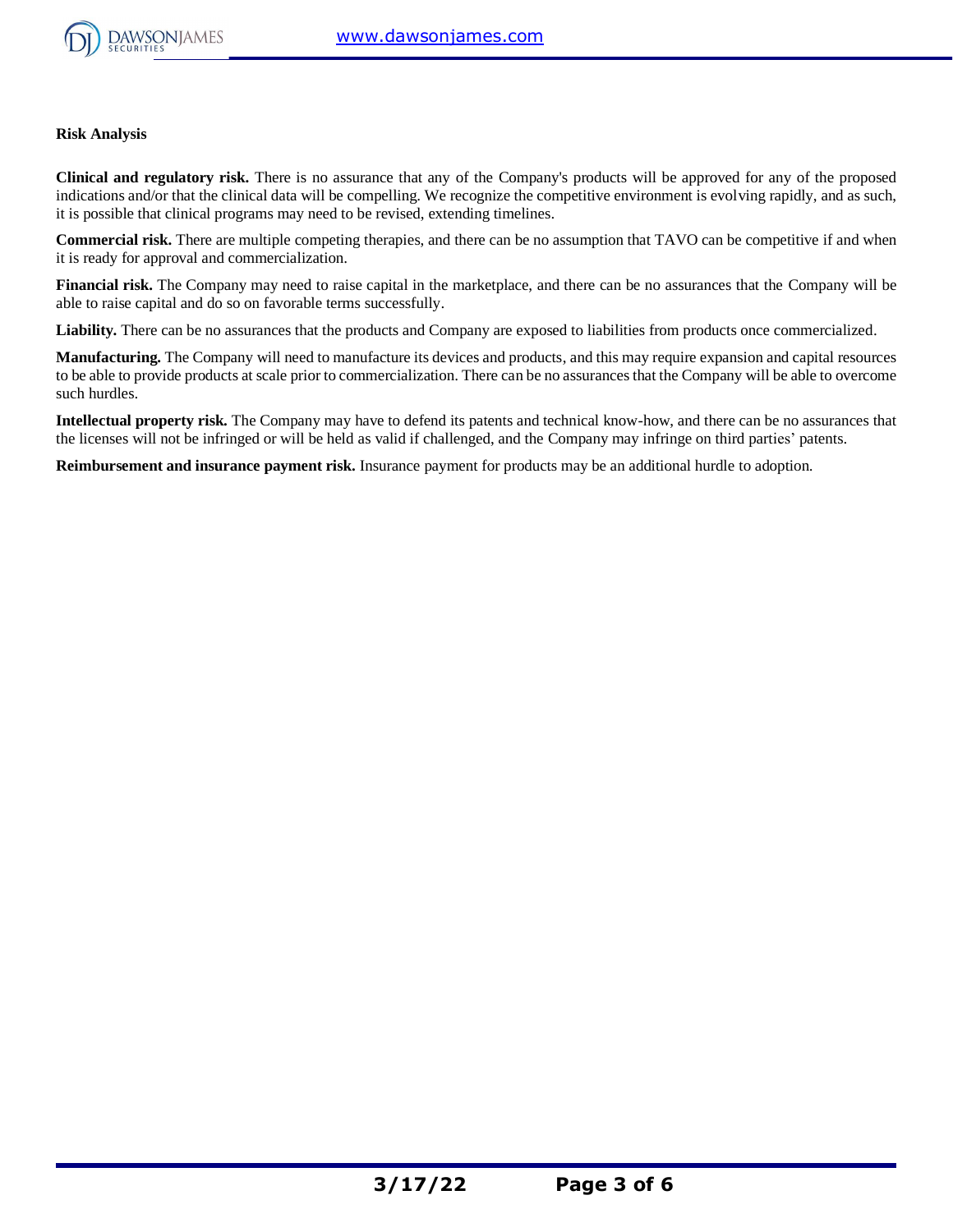

#### **Risk Analysis**

**Clinical and regulatory risk.** There is no assurance that any of the Company's products will be approved for any of the proposed indications and/or that the clinical data will be compelling. We recognize the competitive environment is evolving rapidly, and as such, it is possible that clinical programs may need to be revised, extending timelines.

**Commercial risk.** There are multiple competing therapies, and there can be no assumption that TAVO can be competitive if and when it is ready for approval and commercialization.

**Financial risk.** The Company may need to raise capital in the marketplace, and there can be no assurances that the Company will be able to raise capital and do so on favorable terms successfully.

Liability. There can be no assurances that the products and Company are exposed to liabilities from products once commercialized.

**Manufacturing.** The Company will need to manufacture its devices and products, and this may require expansion and capital resources to be able to provide products at scale prior to commercialization. There can be no assurances that the Company will be able to overcome such hurdles.

**Intellectual property risk.** The Company may have to defend its patents and technical know-how, and there can be no assurances that the licenses will not be infringed or will be held as valid if challenged, and the Company may infringe on third parties' patents.

**Reimbursement and insurance payment risk.** Insurance payment for products may be an additional hurdle to adoption.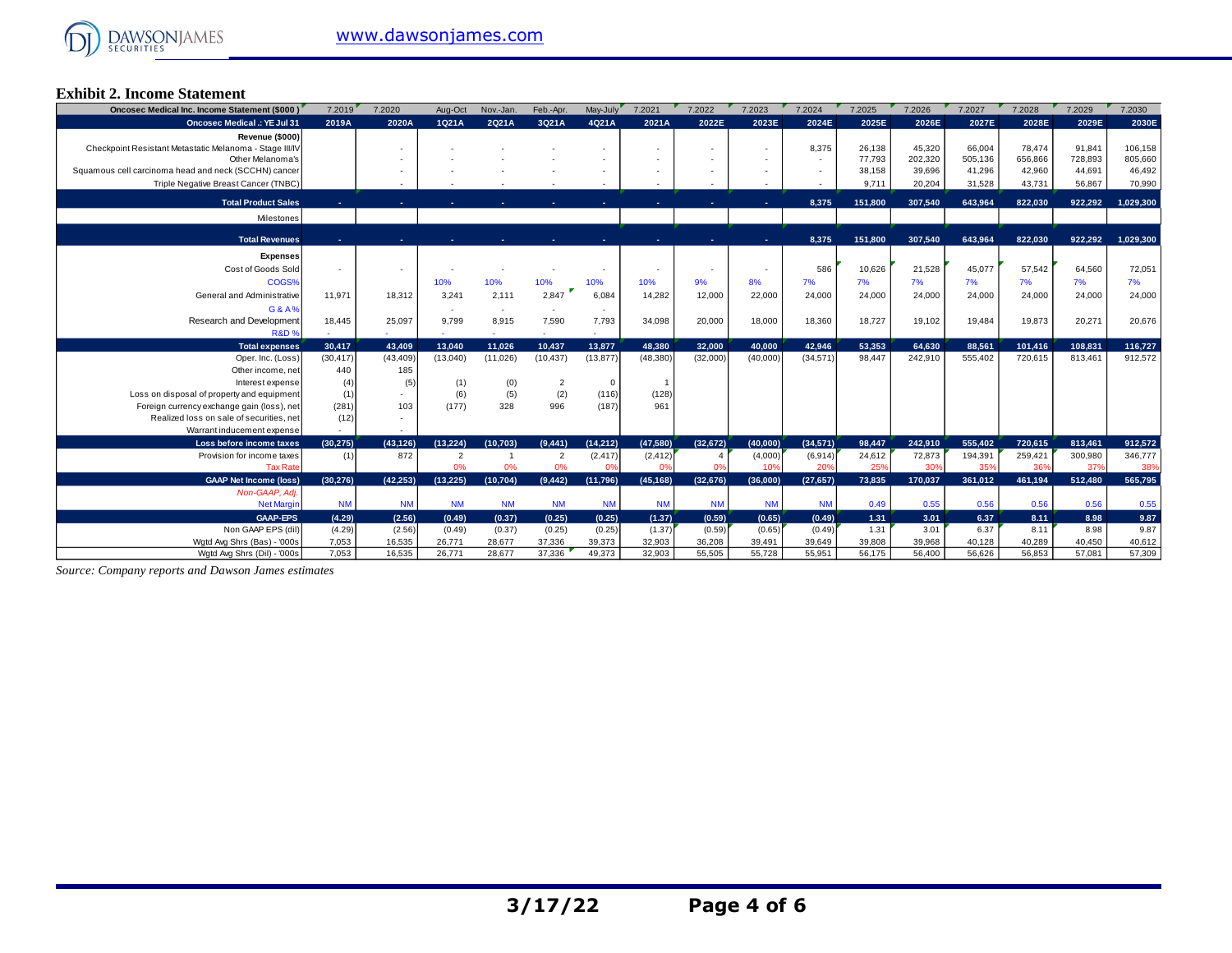

#### **Exhibit 2. Income Statement**

| <b>Oncosec Medical .: YE Jul 31</b><br>2Q21A<br>3Q21A<br>4Q21A<br>2021A<br>2022E<br>2025E<br>2029E<br>2030E<br>2019A<br>2020A<br>1021A<br>2023E<br>2024E<br>2026E<br>2027E<br>2028E<br>Revenue (\$000)<br>Checkpoint Resistant Metastatic Melanoma - Stage III/IV<br>66,004<br>106,158<br>8,375<br>26,138<br>45,320<br>78.474<br>91.841<br>505.136<br>656,866<br>728,893<br>805,660<br>Other Melanoma's<br>77.793<br>202.320<br>$\sim$<br>41,296<br>42,960<br>44.691<br>46,492<br>39.696<br>Squamous cell carcinoma head and neck (SCCHN) cancer<br>38,158<br>Triple Negative Breast Cancer (TNBC)<br>31,528<br>56,867<br>9,711<br>20,204<br>43,731<br>70,990<br><b>Total Product Sales</b><br>151,800<br>307.540<br>643.964<br>822.030<br>922.292<br>1.029.300<br>8,375<br>×.<br>Milestones<br><b>Total Revenues</b><br>307.540<br>8.375<br>151.800<br>643.964<br>822.030<br>922.292<br>1.029.300<br><b>Expenses</b><br>Cost of Goods Sold<br>21,528<br>45,077<br>57,542<br>64,560<br>586<br>10,626<br>72,051<br>COGS%<br>10%<br>7%<br>7%<br>7%<br>7%<br>7%<br>10%<br>10%<br>10%<br>10%<br>9%<br>8%<br>7%<br>7%<br>General and Administrative<br>3,241<br>2,111<br>2,847<br>14,282<br>24,000<br>24,000<br>24,000<br>11.971<br>18,312<br>6.084<br>12,000<br>22,000<br>24,000<br>24,000<br>24,000<br>24,000<br>G&A%<br>$\sim$<br>Research and Development<br>8,915<br>7,590<br>34,098<br>20,000<br>18,000<br>18,360<br>19,484<br>19,873<br>20,271<br>20,676<br>18,445<br>25,097<br>9,799<br>7,793<br>18,727<br>19,102<br><b>R&amp;D%</b><br>48.380<br>32.000<br>40.000<br>42.946<br>53.353<br>64.630<br>88,561<br>101,416<br>108.831<br>116,727<br><b>Total expenses</b><br>30.417<br>43.409<br>13.040<br>11.026<br>10.437<br>13,877<br>(11,026)<br>(13, 877)<br>(48, 380)<br>(32,000)<br>(40,000)<br>(34, 571)<br>98,447<br>242.910<br>555,402<br>720,615<br>912,572<br>(30, 417)<br>(43, 409)<br>(13,040)<br>(10, 437)<br>813,461<br>Oper. Inc. (Loss) | Oncosec Medical Inc. Income Statement (\$000) | 7.2019 | 7.2020 | Aug-Oct | Nov.-Jan. | Feb.-Apr. | May-July | 7.2021 | 7.2022 | 7.2023 | 7.2024 | 7.2025 | 7.2026 | 7.2027 | 7.2028 | 7.2029 | 7.2030 |
|---------------------------------------------------------------------------------------------------------------------------------------------------------------------------------------------------------------------------------------------------------------------------------------------------------------------------------------------------------------------------------------------------------------------------------------------------------------------------------------------------------------------------------------------------------------------------------------------------------------------------------------------------------------------------------------------------------------------------------------------------------------------------------------------------------------------------------------------------------------------------------------------------------------------------------------------------------------------------------------------------------------------------------------------------------------------------------------------------------------------------------------------------------------------------------------------------------------------------------------------------------------------------------------------------------------------------------------------------------------------------------------------------------------------------------------------------------------------------------------------------------------------------------------------------------------------------------------------------------------------------------------------------------------------------------------------------------------------------------------------------------------------------------------------------------------------------------------------------------------------------------------------------------------------------------------------------------|-----------------------------------------------|--------|--------|---------|-----------|-----------|----------|--------|--------|--------|--------|--------|--------|--------|--------|--------|--------|
|                                                                                                                                                                                                                                                                                                                                                                                                                                                                                                                                                                                                                                                                                                                                                                                                                                                                                                                                                                                                                                                                                                                                                                                                                                                                                                                                                                                                                                                                                                                                                                                                                                                                                                                                                                                                                                                                                                                                                         |                                               |        |        |         |           |           |          |        |        |        |        |        |        |        |        |        |        |
|                                                                                                                                                                                                                                                                                                                                                                                                                                                                                                                                                                                                                                                                                                                                                                                                                                                                                                                                                                                                                                                                                                                                                                                                                                                                                                                                                                                                                                                                                                                                                                                                                                                                                                                                                                                                                                                                                                                                                         |                                               |        |        |         |           |           |          |        |        |        |        |        |        |        |        |        |        |
|                                                                                                                                                                                                                                                                                                                                                                                                                                                                                                                                                                                                                                                                                                                                                                                                                                                                                                                                                                                                                                                                                                                                                                                                                                                                                                                                                                                                                                                                                                                                                                                                                                                                                                                                                                                                                                                                                                                                                         |                                               |        |        |         |           |           |          |        |        |        |        |        |        |        |        |        |        |
|                                                                                                                                                                                                                                                                                                                                                                                                                                                                                                                                                                                                                                                                                                                                                                                                                                                                                                                                                                                                                                                                                                                                                                                                                                                                                                                                                                                                                                                                                                                                                                                                                                                                                                                                                                                                                                                                                                                                                         |                                               |        |        |         |           |           |          |        |        |        |        |        |        |        |        |        |        |
|                                                                                                                                                                                                                                                                                                                                                                                                                                                                                                                                                                                                                                                                                                                                                                                                                                                                                                                                                                                                                                                                                                                                                                                                                                                                                                                                                                                                                                                                                                                                                                                                                                                                                                                                                                                                                                                                                                                                                         |                                               |        |        |         |           |           |          |        |        |        |        |        |        |        |        |        |        |
|                                                                                                                                                                                                                                                                                                                                                                                                                                                                                                                                                                                                                                                                                                                                                                                                                                                                                                                                                                                                                                                                                                                                                                                                                                                                                                                                                                                                                                                                                                                                                                                                                                                                                                                                                                                                                                                                                                                                                         |                                               |        |        |         |           |           |          |        |        |        |        |        |        |        |        |        |        |
|                                                                                                                                                                                                                                                                                                                                                                                                                                                                                                                                                                                                                                                                                                                                                                                                                                                                                                                                                                                                                                                                                                                                                                                                                                                                                                                                                                                                                                                                                                                                                                                                                                                                                                                                                                                                                                                                                                                                                         |                                               |        |        |         |           |           |          |        |        |        |        |        |        |        |        |        |        |
|                                                                                                                                                                                                                                                                                                                                                                                                                                                                                                                                                                                                                                                                                                                                                                                                                                                                                                                                                                                                                                                                                                                                                                                                                                                                                                                                                                                                                                                                                                                                                                                                                                                                                                                                                                                                                                                                                                                                                         |                                               |        |        |         |           |           |          |        |        |        |        |        |        |        |        |        |        |
|                                                                                                                                                                                                                                                                                                                                                                                                                                                                                                                                                                                                                                                                                                                                                                                                                                                                                                                                                                                                                                                                                                                                                                                                                                                                                                                                                                                                                                                                                                                                                                                                                                                                                                                                                                                                                                                                                                                                                         |                                               |        |        |         |           |           |          |        |        |        |        |        |        |        |        |        |        |
|                                                                                                                                                                                                                                                                                                                                                                                                                                                                                                                                                                                                                                                                                                                                                                                                                                                                                                                                                                                                                                                                                                                                                                                                                                                                                                                                                                                                                                                                                                                                                                                                                                                                                                                                                                                                                                                                                                                                                         |                                               |        |        |         |           |           |          |        |        |        |        |        |        |        |        |        |        |
|                                                                                                                                                                                                                                                                                                                                                                                                                                                                                                                                                                                                                                                                                                                                                                                                                                                                                                                                                                                                                                                                                                                                                                                                                                                                                                                                                                                                                                                                                                                                                                                                                                                                                                                                                                                                                                                                                                                                                         |                                               |        |        |         |           |           |          |        |        |        |        |        |        |        |        |        |        |
|                                                                                                                                                                                                                                                                                                                                                                                                                                                                                                                                                                                                                                                                                                                                                                                                                                                                                                                                                                                                                                                                                                                                                                                                                                                                                                                                                                                                                                                                                                                                                                                                                                                                                                                                                                                                                                                                                                                                                         |                                               |        |        |         |           |           |          |        |        |        |        |        |        |        |        |        |        |
|                                                                                                                                                                                                                                                                                                                                                                                                                                                                                                                                                                                                                                                                                                                                                                                                                                                                                                                                                                                                                                                                                                                                                                                                                                                                                                                                                                                                                                                                                                                                                                                                                                                                                                                                                                                                                                                                                                                                                         |                                               |        |        |         |           |           |          |        |        |        |        |        |        |        |        |        |        |
|                                                                                                                                                                                                                                                                                                                                                                                                                                                                                                                                                                                                                                                                                                                                                                                                                                                                                                                                                                                                                                                                                                                                                                                                                                                                                                                                                                                                                                                                                                                                                                                                                                                                                                                                                                                                                                                                                                                                                         |                                               |        |        |         |           |           |          |        |        |        |        |        |        |        |        |        |        |
|                                                                                                                                                                                                                                                                                                                                                                                                                                                                                                                                                                                                                                                                                                                                                                                                                                                                                                                                                                                                                                                                                                                                                                                                                                                                                                                                                                                                                                                                                                                                                                                                                                                                                                                                                                                                                                                                                                                                                         |                                               |        |        |         |           |           |          |        |        |        |        |        |        |        |        |        |        |
|                                                                                                                                                                                                                                                                                                                                                                                                                                                                                                                                                                                                                                                                                                                                                                                                                                                                                                                                                                                                                                                                                                                                                                                                                                                                                                                                                                                                                                                                                                                                                                                                                                                                                                                                                                                                                                                                                                                                                         |                                               |        |        |         |           |           |          |        |        |        |        |        |        |        |        |        |        |
|                                                                                                                                                                                                                                                                                                                                                                                                                                                                                                                                                                                                                                                                                                                                                                                                                                                                                                                                                                                                                                                                                                                                                                                                                                                                                                                                                                                                                                                                                                                                                                                                                                                                                                                                                                                                                                                                                                                                                         |                                               |        |        |         |           |           |          |        |        |        |        |        |        |        |        |        |        |
|                                                                                                                                                                                                                                                                                                                                                                                                                                                                                                                                                                                                                                                                                                                                                                                                                                                                                                                                                                                                                                                                                                                                                                                                                                                                                                                                                                                                                                                                                                                                                                                                                                                                                                                                                                                                                                                                                                                                                         |                                               |        |        |         |           |           |          |        |        |        |        |        |        |        |        |        |        |
|                                                                                                                                                                                                                                                                                                                                                                                                                                                                                                                                                                                                                                                                                                                                                                                                                                                                                                                                                                                                                                                                                                                                                                                                                                                                                                                                                                                                                                                                                                                                                                                                                                                                                                                                                                                                                                                                                                                                                         |                                               |        |        |         |           |           |          |        |        |        |        |        |        |        |        |        |        |
| Other income, net<br>440<br>185                                                                                                                                                                                                                                                                                                                                                                                                                                                                                                                                                                                                                                                                                                                                                                                                                                                                                                                                                                                                                                                                                                                                                                                                                                                                                                                                                                                                                                                                                                                                                                                                                                                                                                                                                                                                                                                                                                                         |                                               |        |        |         |           |           |          |        |        |        |        |        |        |        |        |        |        |
| (0)<br>Interest expense<br>(4)<br>(5)<br>(1)<br>$\overline{2}$<br>$\Omega$                                                                                                                                                                                                                                                                                                                                                                                                                                                                                                                                                                                                                                                                                                                                                                                                                                                                                                                                                                                                                                                                                                                                                                                                                                                                                                                                                                                                                                                                                                                                                                                                                                                                                                                                                                                                                                                                              |                                               |        |        |         |           |           |          |        |        |        |        |        |        |        |        |        |        |
| (2)<br>(5)<br>Loss on disposal of property and equipment<br>(1)<br>(6)<br>(128)<br>(116)                                                                                                                                                                                                                                                                                                                                                                                                                                                                                                                                                                                                                                                                                                                                                                                                                                                                                                                                                                                                                                                                                                                                                                                                                                                                                                                                                                                                                                                                                                                                                                                                                                                                                                                                                                                                                                                                |                                               |        |        |         |           |           |          |        |        |        |        |        |        |        |        |        |        |
| (281)<br>996<br>Foreign currency exchange gain (loss), net<br>103<br>(177)<br>328<br>(187)<br>961                                                                                                                                                                                                                                                                                                                                                                                                                                                                                                                                                                                                                                                                                                                                                                                                                                                                                                                                                                                                                                                                                                                                                                                                                                                                                                                                                                                                                                                                                                                                                                                                                                                                                                                                                                                                                                                       |                                               |        |        |         |           |           |          |        |        |        |        |        |        |        |        |        |        |
| (12)<br>Realized loss on sale of securities, net                                                                                                                                                                                                                                                                                                                                                                                                                                                                                                                                                                                                                                                                                                                                                                                                                                                                                                                                                                                                                                                                                                                                                                                                                                                                                                                                                                                                                                                                                                                                                                                                                                                                                                                                                                                                                                                                                                        |                                               |        |        |         |           |           |          |        |        |        |        |        |        |        |        |        |        |
| Warrant inducement expense                                                                                                                                                                                                                                                                                                                                                                                                                                                                                                                                                                                                                                                                                                                                                                                                                                                                                                                                                                                                                                                                                                                                                                                                                                                                                                                                                                                                                                                                                                                                                                                                                                                                                                                                                                                                                                                                                                                              |                                               |        |        |         |           |           |          |        |        |        |        |        |        |        |        |        |        |
| Loss before income taxes<br>(13.224)<br>(10, 703)<br>(9,441)<br>(14, 212)<br>(47,580)<br>(32, 672)<br>(40,000)<br>(34, 571)<br>98.447<br>242.910<br>555,402<br>720,615<br>813,461<br>912,572<br>(30.275)<br>(43.126)                                                                                                                                                                                                                                                                                                                                                                                                                                                                                                                                                                                                                                                                                                                                                                                                                                                                                                                                                                                                                                                                                                                                                                                                                                                                                                                                                                                                                                                                                                                                                                                                                                                                                                                                    |                                               |        |        |         |           |           |          |        |        |        |        |        |        |        |        |        |        |
| (2, 417)<br>(2, 412)<br>24,612<br>72,873<br>194,391<br>259,421<br>300,980<br>346,777<br>872<br>$\overline{2}$<br>(4,000)<br>(6,914)<br>Provision for income taxes<br>(1)<br>$\overline{2}$<br>$\overline{1}$                                                                                                                                                                                                                                                                                                                                                                                                                                                                                                                                                                                                                                                                                                                                                                                                                                                                                                                                                                                                                                                                                                                                                                                                                                                                                                                                                                                                                                                                                                                                                                                                                                                                                                                                            |                                               |        |        |         |           |           |          |        |        |        |        |        |        |        |        |        |        |
| 0%<br>0%<br>0%<br>0%<br>10%<br>20%<br>25%<br>30%<br>35%<br>36%<br>37%<br>38%<br><b>Tax Rate</b><br>0%<br>0%                                                                                                                                                                                                                                                                                                                                                                                                                                                                                                                                                                                                                                                                                                                                                                                                                                                                                                                                                                                                                                                                                                                                                                                                                                                                                                                                                                                                                                                                                                                                                                                                                                                                                                                                                                                                                                             |                                               |        |        |         |           |           |          |        |        |        |        |        |        |        |        |        |        |
| <b>GAAP Net Income (loss)</b><br>565,795<br>(30.276)<br>(42.253)<br>(13.225)<br>(10.704)<br>(9.442)<br>(11.796)<br>(45, 168)<br>(32, 676)<br>(36.000)<br>(27, 657)<br>73.835<br>170,037<br>361,012<br>461.194<br>512.480                                                                                                                                                                                                                                                                                                                                                                                                                                                                                                                                                                                                                                                                                                                                                                                                                                                                                                                                                                                                                                                                                                                                                                                                                                                                                                                                                                                                                                                                                                                                                                                                                                                                                                                                |                                               |        |        |         |           |           |          |        |        |        |        |        |        |        |        |        |        |
| Non-GAAP, Adj.                                                                                                                                                                                                                                                                                                                                                                                                                                                                                                                                                                                                                                                                                                                                                                                                                                                                                                                                                                                                                                                                                                                                                                                                                                                                                                                                                                                                                                                                                                                                                                                                                                                                                                                                                                                                                                                                                                                                          |                                               |        |        |         |           |           |          |        |        |        |        |        |        |        |        |        |        |
| <b>Net Margin</b><br><b>NM</b><br><b>NM</b><br>0.56<br>0.56<br>0.56<br><b>NM</b><br><b>NM</b><br><b>NM</b><br><b>NM</b><br><b>NM</b><br><b>NM</b><br><b>NM</b><br><b>NM</b><br>0.49<br>0.55<br>0.55                                                                                                                                                                                                                                                                                                                                                                                                                                                                                                                                                                                                                                                                                                                                                                                                                                                                                                                                                                                                                                                                                                                                                                                                                                                                                                                                                                                                                                                                                                                                                                                                                                                                                                                                                     |                                               |        |        |         |           |           |          |        |        |        |        |        |        |        |        |        |        |
| 8.98<br>9.87<br><b>GAAP-EPS</b><br>(2.56)<br>(0.25)<br>(0.25)<br>(1.37)<br>1.31<br>3.01<br>6.37<br>8.11<br>(4.29)<br>(0.49)<br>(0.37)<br>(0.59)<br>(0.65)<br>(0.49)                                                                                                                                                                                                                                                                                                                                                                                                                                                                                                                                                                                                                                                                                                                                                                                                                                                                                                                                                                                                                                                                                                                                                                                                                                                                                                                                                                                                                                                                                                                                                                                                                                                                                                                                                                                     |                                               |        |        |         |           |           |          |        |        |        |        |        |        |        |        |        |        |
| 9.87<br>Non GAAP EPS (dil)<br>(4.29)<br>(2.56)<br>(0.37)<br>(0.25)<br>(0.25)<br>(1.37)<br>(0.59)<br>(0.65)<br>(0.49)<br>1.31<br>3.01<br>6.37<br>8.11<br>8.98<br>(0.49)<br>7.053<br>36.208<br>32.903                                                                                                                                                                                                                                                                                                                                                                                                                                                                                                                                                                                                                                                                                                                                                                                                                                                                                                                                                                                                                                                                                                                                                                                                                                                                                                                                                                                                                                                                                                                                                                                                                                                                                                                                                     |                                               |        |        |         |           |           |          |        |        |        |        |        |        |        |        |        |        |
| 16,535<br>39,373<br>39,491<br>39,808<br>39,968<br>40,128<br>40,289<br>40,450<br>40,612<br>Wgtd Avg Shrs (Bas) - '000s<br>26,771<br>28,677<br>37,336<br>39,649<br>37,336<br>55.728<br>56.853<br>57,309<br>Watd Ava Shrs (Dil) - '000s<br>7.053<br>16,535<br>26,771<br>28,677<br>49.373<br>32,903<br>55,505<br>55.951<br>56.175<br>56,400<br>56.626<br>57,081                                                                                                                                                                                                                                                                                                                                                                                                                                                                                                                                                                                                                                                                                                                                                                                                                                                                                                                                                                                                                                                                                                                                                                                                                                                                                                                                                                                                                                                                                                                                                                                             |                                               |        |        |         |           |           |          |        |        |        |        |        |        |        |        |        |        |

*Source: Company reports and Dawson James estimates*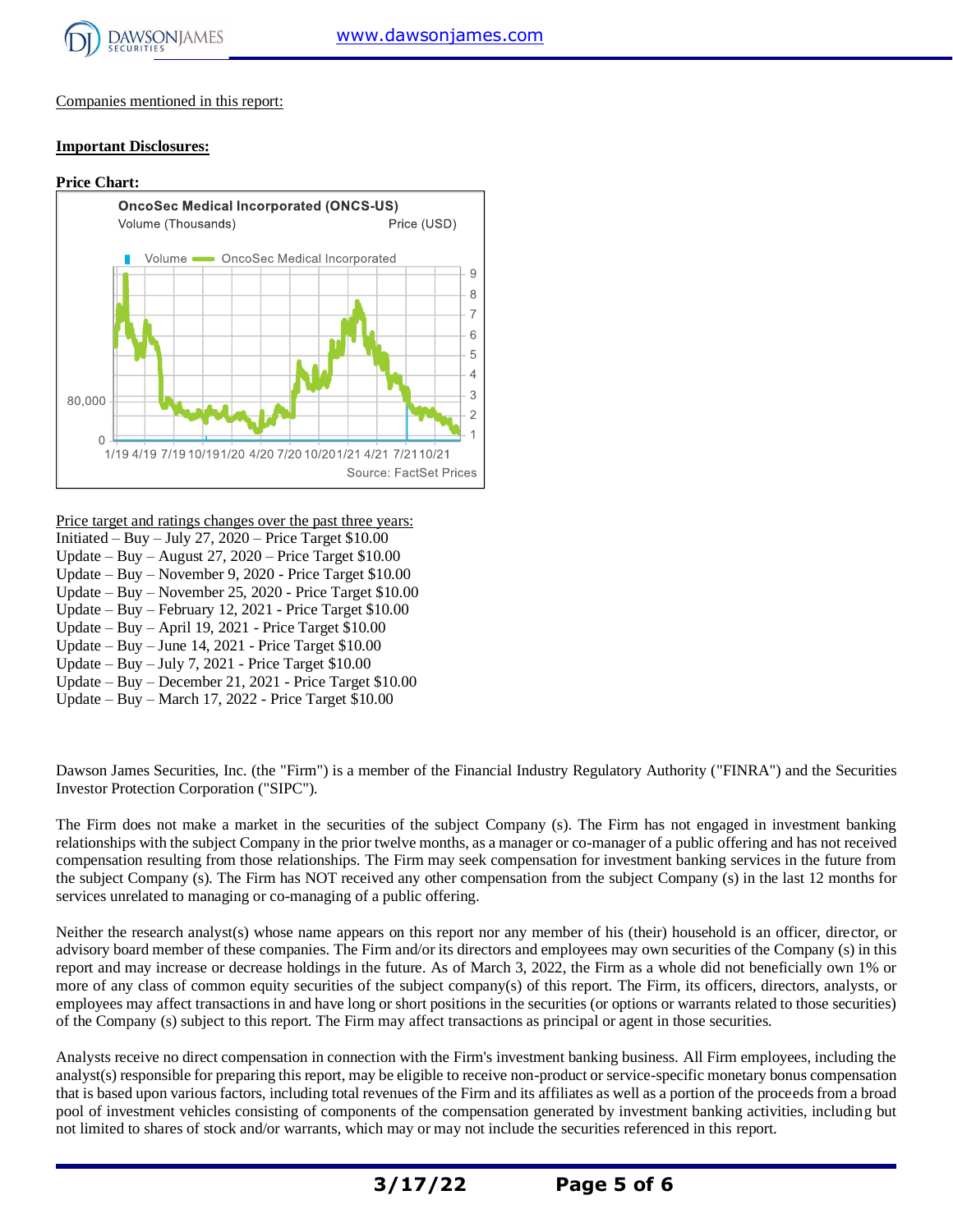

Price (USD)

Companies mentioned in this report:

#### **Important Disclosures:**

# **Price Chart: OncoSec Medical Incorporated (ONCS-US)** Volume (Thousands) Volume <a>>
OncoSec Medical Incorporated



Price target and ratings changes over the past three years:

- Initiated Buy July 27, 2020 Price Target  $$10.00$ Update – Buy – August 27, 2020 – Price Target \$10.00
- Update Buy November 9, 2020 Price Target \$10.00
- Update Buy November 25, 2020 Price Target \$10.00
- Update Buy February 12, 2021 Price Target \$10.00
- Update Buy April 19, 2021 Price Target \$10.00
- Update Buy June 14, 2021 Price Target \$10.00
- Update Buy July 7, 2021 Price Target \$10.00
- Update Buy December 21, 2021 Price Target \$10.00
- Update Buy March 17, 2022 Price Target \$10.00

Dawson James Securities, Inc. (the "Firm") is a member of the Financial Industry Regulatory Authority ("FINRA") and the Securities Investor Protection Corporation ("SIPC").

The Firm does not make a market in the securities of the subject Company (s). The Firm has not engaged in investment banking relationships with the subject Company in the prior twelve months, as a manager or co-manager of a public offering and has not received compensation resulting from those relationships. The Firm may seek compensation for investment banking services in the future from the subject Company (s). The Firm has NOT received any other compensation from the subject Company (s) in the last 12 months for services unrelated to managing or co-managing of a public offering.

Neither the research analyst(s) whose name appears on this report nor any member of his (their) household is an officer, director, or advisory board member of these companies. The Firm and/or its directors and employees may own securities of the Company (s) in this report and may increase or decrease holdings in the future. As of March 3, 2022, the Firm as a whole did not beneficially own 1% or more of any class of common equity securities of the subject company(s) of this report. The Firm, its officers, directors, analysts, or employees may affect transactions in and have long or short positions in the securities (or options or warrants related to those securities) of the Company (s) subject to this report. The Firm may affect transactions as principal or agent in those securities.

Analysts receive no direct compensation in connection with the Firm's investment banking business. All Firm employees, including the analyst(s) responsible for preparing this report, may be eligible to receive non-product or service-specific monetary bonus compensation that is based upon various factors, including total revenues of the Firm and its affiliates as well as a portion of the proceedsfrom a broad pool of investment vehicles consisting of components of the compensation generated by investment banking activities, including but not limited to shares of stock and/or warrants, which may or may not include the securities referenced in this report.